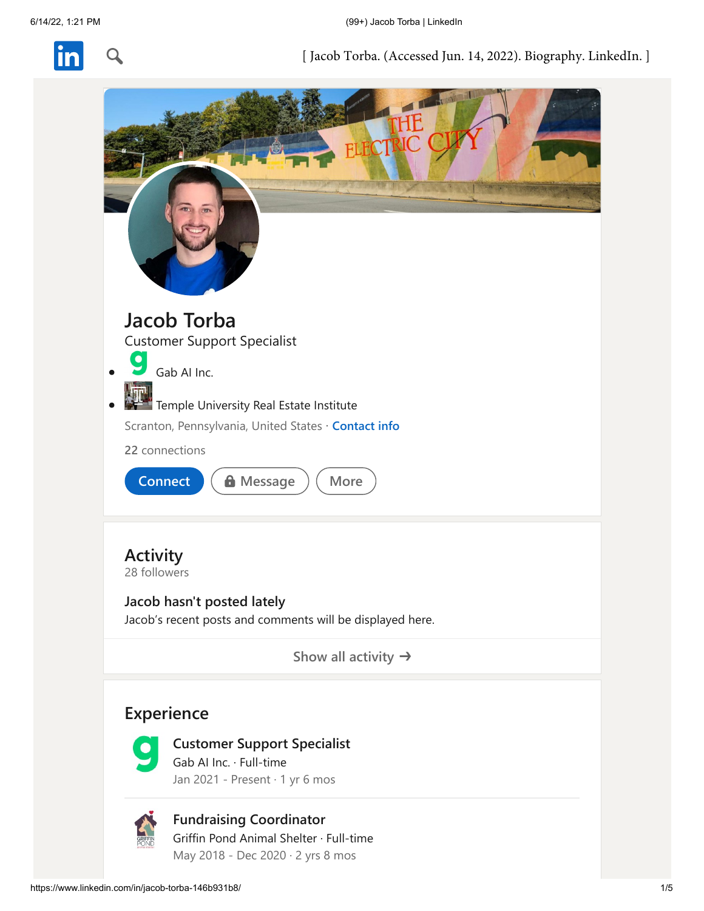

[Jacob Torba. (Accessed Ju[n. 14, 2022\).](https://www.linkedin.com/feed/) [Biography. L](https://www.linkedin.com/mynetwork/)[inkedIn. \]](https://www.linkedin.com/jobs/)

<span id="page-0-0"></span>